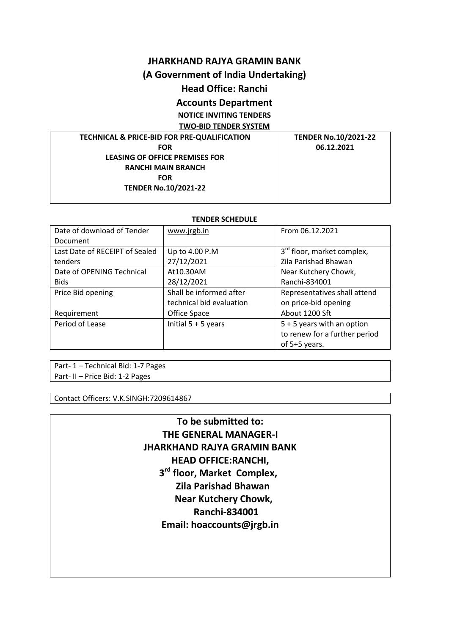## **JHARKHAND RAJYA GRAMIN BANK**

# **(A Government of India Undertaking)**

# **Head Office: Ranchi**

# **Accounts Department**

**NOTICE INVITING TENDERS**

**TWO-BID TENDER SYSTEM**

**TECHNICAL & PRICE-BID FOR PRE-QUALIFICATION FOR LEASING OF OFFICE PREMISES FOR RANCHI MAIN BRANCH FOR TENDER No.10/2021-22**

**TENDER No.10/2021-22 06.12.2021**

#### **TENDER SCHEDULE**

| Date of download of Tender     | www.jrgb.in              | From 06.12.2021                        |  |
|--------------------------------|--------------------------|----------------------------------------|--|
| Document                       |                          |                                        |  |
| Last Date of RECEIPT of Sealed | Up to 4.00 P.M           | 3 <sup>rd</sup> floor, market complex, |  |
| tenders                        | 27/12/2021               | Zila Parishad Bhawan                   |  |
| Date of OPENING Technical      | At 10.30AM               | Near Kutchery Chowk,                   |  |
| <b>Bids</b>                    | 28/12/2021               | Ranchi-834001                          |  |
| Price Bid opening              | Shall be informed after  | Representatives shall attend           |  |
|                                | technical bid evaluation | on price-bid opening                   |  |
| Requirement                    | Office Space             | About 1200 Sft                         |  |
| Period of Lease                | Initial $5 + 5$ years    | $5 + 5$ years with an option           |  |
|                                |                          | to renew for a further period          |  |
|                                |                          | of 5+5 years.                          |  |

Part- 1 – Technical Bid: 1-7 Pages Part- II – Price Bid: 1-2 Pages

Contact Officers: V.K.SINGH:7209614867

**To be submitted to: THE GENERAL MANAGER-I JHARKHAND RAJYA GRAMIN BANK HEAD OFFICE:RANCHI, 3 3 3 3 rd floor, Market Complex, Zila Parishad Bhawan Near Kutchery Chowk, Ranchi-834001 Email: hoaccounts@jrgb.in**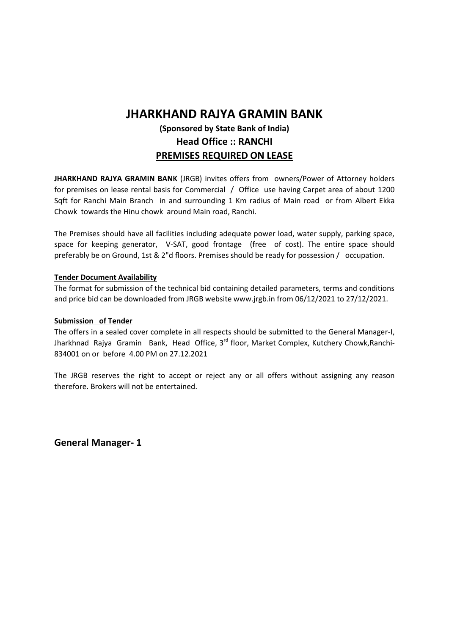# **JHARKHAND RAJYA GRAMIN BANK**

# **(Sponsored by State Bank of India) Head Office :: RANCHI PREMISES REQUIRED ON LEASE**

**JHARKHAND RAJYA GRAMIN BANK** (JRGB) invites offers from owners/Power of Attorney holders for premises on lease rental basis for Commercial / Office use having Carpet area of about 1200 Sqft for Ranchi Main Branch in and surrounding 1 Km radius of Main road or from Albert Ekka Chowk towards the Hinu chowk around Main road, Ranchi.

The Premises should have all facilities including adequate power load, water supply, parking space, space for keeping generator, V-SAT, good frontage (free of cost). The entire space should preferably be on Ground, 1st & 2"d floors. Premises should be ready for possession / occupation.

## **Tender Document Availability**

The format for submission of the technical bid containing detailed parameters, terms and conditions and price bid can be downloaded from JRGB website www.jrgb.in from 06/12/2021 to 27/12/2021.

#### **Submission of Tender**

The offers in a sealed cover complete in all respects should be submitted to the General Manager-I, Jharkhnad Rajya Gramin Bank, Head Office, 3<sup>rd</sup> floor, Market Complex, Kutchery Chowk, Ranchi-834001 on or before 4.00 PM on 27.12.2021

The JRGB reserves the right to accept or reject any or all offers without assigning any reason therefore. Brokers will not be entertained.

**General Manager- 1**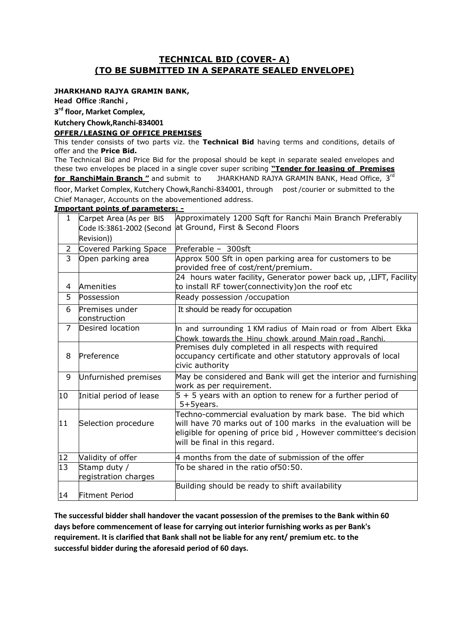# **TECHNICAL BID (COVER- A) (TO BE SUBMITTED IN A SEPARATE SEALED ENVELOPE)**

#### **JHARKHAND RAJYA GRAMIN BANK,**

**Head Office :Ranchi ,** 

**3 rd floor, Market Complex,**

#### **Kutchery Chowk,Ranchi-834001**

#### **OFFER/LEASING OF OFFICE PREMISES**

This tender consists of two parts viz. the **Technical Bid** having terms and conditions, details of offer and the **Price Bid.**

The Technical Bid and Price Bid for the proposal should be kept in separate sealed envelopes and these two envelopes be placed in a single cover super scribing **"Tender for leasing of Premises for RanchiMain Branch "** and submit to JHARKHAND RAJYA GRAMIN BANK, Head Office, 3 rd floor, Market Complex, Kutchery Chowk,Ranchi-834001, through post /courier or submitted to the

Chief Manager, Accounts on the abovementioned address.

#### **Important points of parameters:** 1 Carpet Area (As per BIS Code IS:3861-2002 (Second at Ground, First & Second Floors Revision)) Approximately 1200 Sqft for Ranchi Main Branch Preferably It should be ready for occupation 2 Covered Parking Space Preferable - 300sft 3 Open parking area Approx 500 Sft in open parking area for customers to be provided free of cost/rent/premium. 4 Amenities 24 hours water facility, Generator power back up, ,LIFT, Facility to install RF tower(connectivity)on the roof etc 5 Possession Ready possession / occupation 6 Premises under construction 7 Desired location In and surrounding 1 KM radius of Main road or from Albert Ekka Chowk towards the Hinu chowk around Main road , Ranchi. 8 Preference Premises duly completed in all respects with required occupancy certificate and other statutory approvals of local civic authority 9 Unfurnished premises May be considered and Bank will get the interior and furnishing work as per requirement. 10 Initial period of lease  $\overline{5} + 5$  years with an option to renew for a further period of 5+5years. 11 Selection procedure Techno-commercial evaluation by mark base. The bid which will have 70 marks out of 100 marks in the evaluation will be eligible for opening of price bid , However committee's decision will be final in this regard. 12 Validity of offer 4 months from the date of submission of the offer 13 Stamp duty / registration charges To be shared in the ratio of50:50. 14 Fitment Period Building should be ready to shift availability

**The successful bidder shall handover the vacant possession of the premises to the Bank within 60 days before commencement of lease for carrying out interior furnishing works as per Bank's requirement. It is clarified that Bank shall not be liable for any rent/ premium etc. to the successful bidder during the aforesaid period of 60 days.**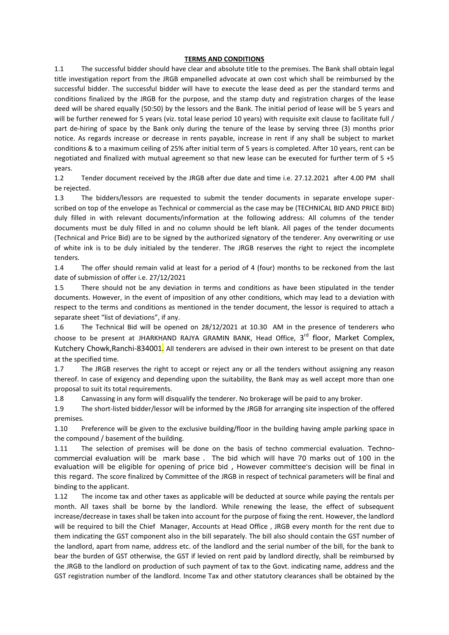#### **TERMS AND CONDITIONS**

1.1 The successful bidder should have clear and absolute title to the premises. The Bank shall obtain legal title investigation report from the JRGB empanelled advocate at own cost which shall be reimbursed by the successful bidder. The successful bidder will have to execute the lease deed as per the standard terms and conditions finalized by the JRGB for the purpose, and the stamp duty and registration charges of the lease deed will be shared equally (50:50) by the lessors and the Bank. The initial period of lease will be 5 years and will be further renewed for 5 years (viz. total lease period 10 years) with requisite exit clause to facilitate full / part de-hiring of space by the Bank only during the tenure of the lease by serving three (3) months prior notice. As regards increase or decrease in rents payable, increase in rent if any shall be subject to market conditions & to a maximum ceiling of 25% after initial term of 5 years is completed. After 10 years, rent can be negotiated and finalized with mutual agreement so that new lease can be executed for further term of 5 +5 years.

1.2 Tender document received by the JRGB after due date and time i.e. 27.12.2021 after 4.00 PM shall be rejected.

1.3 The bidders/lessors are requested to submit the tender documents in separate envelope superscribed on top of the envelope as Technical or commercial as the case may be (TECHNICAL BID AND PRICE BID) duly filled in with relevant documents/information at the following address: All columns of the tender documents must be duly filled in and no column should be left blank. All pages of the tender documents (Technical and Price Bid) are to be signed by the authorized signatory of the tenderer. Any overwriting or use of white ink is to be duly initialed by the tenderer. The JRGB reserves the right to reject the incomplete tenders.

1.4 The offer should remain valid at least for a period of 4 (four) months to be reckoned from the last date of submission of offer i.e. 27/12/2021

1.5 There should not be any deviation in terms and conditions as have been stipulated in the tender documents. However, in the event of imposition of any other conditions, which may lead to a deviation with respect to the terms and conditions as mentioned in the tender document, the lessor is required to attach a separate sheet "list of deviations", if any.

1.6 The Technical Bid will be opened on 28/12/2021 at 10.30 AM in the presence of tenderers who choose to be present at JHARKHAND RAJYA GRAMIN BANK, Head Office, 3<sup>rd</sup> floor, Market Complex, Kutchery Chowk, Ranchi-834001. All tenderers are advised in their own interest to be present on that date at the specified time.

1.7 The JRGB reserves the right to accept or reject any or all the tenders without assigning any reason thereof. In case of exigency and depending upon the suitability, the Bank may as well accept more than one proposal to suit its total requirements.

1.8 Canvassing in any form will disqualify the tenderer. No brokerage will be paid to any broker.

1.9 The short-listed bidder/lessor will be informed by the JRGB for arranging site inspection of the offered premises.

1.10 Preference will be given to the exclusive building/floor in the building having ample parking space in the compound / basement of the building.

1.11 The selection of premises will be done on the basis of techno commercial evaluation. Technocommercial evaluation will be mark base . The bid which will have 70 marks out of 100 in the evaluation will be eligible for opening of price bid , However committee's decision will be final in this regard. The score finalized by Committee of the JRGB in respect of technical parameters will be final and binding to the applicant.

1.12 The income tax and other taxes as applicable will be deducted at source while paying the rentals per month. All taxes shall be borne by the landlord. While renewing the lease, the effect of subsequent increase/decrease in taxes shall be taken into account for the purpose of fixing the rent. However, the landlord will be required to bill the Chief Manager, Accounts at Head Office , JRGB every month for the rent due to them indicating the GST component also in the bill separately. The bill also should contain the GST number of the landlord, apart from name, address etc. of the landlord and the serial number of the bill, for the bank to bear the burden of GST otherwise, the GST if levied on rent paid by landlord directly, shall be reimbursed by the JRGB to the landlord on production of such payment of tax to the Govt. indicating name, address and the GST registration number of the landlord. Income Tax and other statutory clearances shall be obtained by the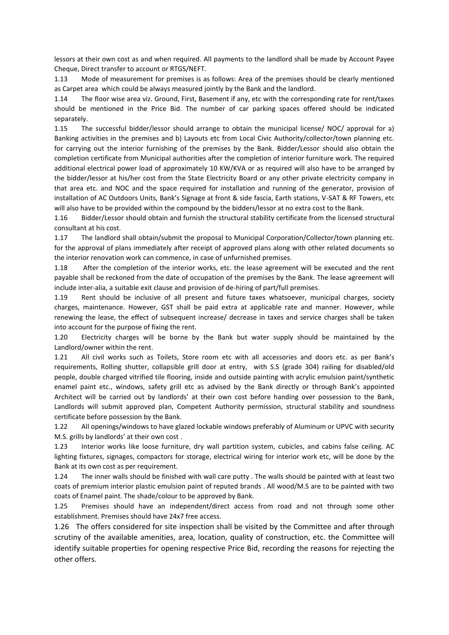lessors at their own cost as and when required. All payments to the landlord shall be made by Account Payee Cheque, Direct transfer to account or RTGS/NEFT.

1.13 Mode of measurement for premises is as follows: Area of the premises should be clearly mentioned as Carpet area which could be always measured jointly by the Bank and the landlord.

1.14 The floor wise area viz. Ground, First, Basement if any, etc with the corresponding rate for rent/taxes should be mentioned in the Price Bid. The number of car parking spaces offered should be indicated separately.

1.15 The successful bidder/lessor should arrange to obtain the municipal license/ NOC/ approval for a) Banking activities in the premises and b) Layouts etc from Local Civic Authority/collector/town planning etc. for carrying out the interior furnishing of the premises by the Bank. Bidder/Lessor should also obtain the completion certificate from Municipal authorities after the completion of interior furniture work. The required additional electrical power load of approximately 10 KW/KVA or as required will also have to be arranged by the bidder/lessor at his/her cost from the State Electricity Board or any other private electricity company in that area etc. and NOC and the space required for installation and running of the generator, provision of installation of AC Outdoors Units, Bank's Signage at front & side fascia, Earth stations, V-SAT & RF Towers, etc will also have to be provided within the compound by the bidders/lessor at no extra cost to the Bank.

1.16 Bidder/Lessor should obtain and furnish the structural stability certificate from the licensed structural consultant at his cost.

1.17 The landlord shall obtain/submit the proposal to Municipal Corporation/Collector/town planning etc. for the approval of plans immediately after receipt of approved plans along with other related documents so the interior renovation work can commence, in case of unfurnished premises.

1.18 After the completion of the interior works, etc. the lease agreement will be executed and the rent payable shall be reckoned from the date of occupation of the premises by the Bank. The lease agreement will include inter-alia, a suitable exit clause and provision of de-hiring of part/full premises.

1.19 Rent should be inclusive of all present and future taxes whatsoever, municipal charges, society charges, maintenance. However, GST shall be paid extra at applicable rate and manner. However, while renewing the lease, the effect of subsequent increase/ decrease in taxes and service charges shall be taken into account for the purpose of fixing the rent.

1.20 Electricity charges will be borne by the Bank but water supply should be maintained by the Landlord/owner within the rent.

1.21 All civil works such as Toilets, Store room etc with all accessories and doors etc. as per Bank's requirements, Rolling shutter, collapsible grill door at entry, with S.S (grade 304) railing for disabled/old people, double charged vitrified tile flooring, inside and outside painting with acrylic emulsion paint/synthetic enamel paint etc., windows, safety grill etc as advised by the Bank directly or through Bank's appointed Architect will be carried out by landlords' at their own cost before handing over possession to the Bank, Landlords will submit approved plan, Competent Authority permission, structural stability and soundness certificate before possession by the Bank.

1.22 All openings/windows to have glazed lockable windows preferably of Aluminum or UPVC with security M.S. grills by landlords' at their own cost .

1.23 Interior works like loose furniture, dry wall partition system, cubicles, and cabins false ceiling. AC lighting fixtures, signages, compactors for storage, electrical wiring for interior work etc, will be done by the Bank at its own cost as per requirement.

1.24 The inner walls should be finished with wall care putty . The walls should be painted with at least two coats of premium interior plastic emulsion paint of reputed brands . All wood/M.S are to be painted with two coats of Enamel paint. The shade/colour to be approved by Bank.

1.25 Premises should have an independent/direct access from road and not through some other establishment. Premises should have 24x7 free access.

1.26 The offers considered for site inspection shall be visited by the Committee and after through scrutiny of the available amenities, area, location, quality of construction, etc. the Committee will identify suitable properties for opening respective Price Bid, recording the reasons for rejecting the other offers.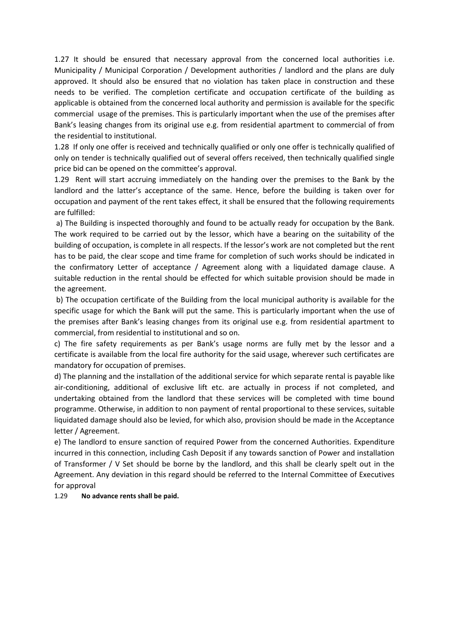1.27 It should be ensured that necessary approval from the concerned local authorities i.e. Municipality / Municipal Corporation / Development authorities / landlord and the plans are duly approved. It should also be ensured that no violation has taken place in construction and these needs to be verified. The completion certificate and occupation certificate of the building as applicable is obtained from the concerned local authority and permission is available for the specific commercial usage of the premises. This is particularly important when the use of the premises after Bank's leasing changes from its original use e.g. from residential apartment to commercial of from the residential to institutional.

1.28 If only one offer is received and technically qualified or only one offer is technically qualified of only on tender is technically qualified out of several offers received, then technically qualified single price bid can be opened on the committee's approval.

1.29 Rent will start accruing immediately on the handing over the premises to the Bank by the landlord and the latter's acceptance of the same. Hence, before the building is taken over for occupation and payment of the rent takes effect, it shall be ensured that the following requirements are fulfilled:

a) The Building is inspected thoroughly and found to be actually ready for occupation by the Bank. The work required to be carried out by the lessor, which have a bearing on the suitability of the building of occupation, is complete in all respects. If the lessor's work are not completed but the rent has to be paid, the clear scope and time frame for completion of such works should be indicated in the confirmatory Letter of acceptance / Agreement along with a liquidated damage clause. A suitable reduction in the rental should be effected for which suitable provision should be made in the agreement.

b) The occupation certificate of the Building from the local municipal authority is available for the specific usage for which the Bank will put the same. This is particularly important when the use of the premises after Bank's leasing changes from its original use e.g. from residential apartment to commercial, from residential to institutional and so on.

c) The fire safety requirements as per Bank's usage norms are fully met by the lessor and a certificate is available from the local fire authority for the said usage, wherever such certificates are mandatory for occupation of premises.

d) The planning and the installation of the additional service for which separate rental is payable like air-conditioning, additional of exclusive lift etc. are actually in process if not completed, and undertaking obtained from the landlord that these services will be completed with time bound programme. Otherwise, in addition to non payment of rental proportional to these services, suitable liquidated damage should also be levied, for which also, provision should be made in the Acceptance letter / Agreement.

e) The landlord to ensure sanction of required Power from the concerned Authorities. Expenditure incurred in this connection, including Cash Deposit if any towards sanction of Power and installation of Transformer / V Set should be borne by the landlord, and this shall be clearly spelt out in the Agreement. Any deviation in this regard should be referred to the Internal Committee of Executives for approval

#### 1.29 **No advance rents shall be paid.**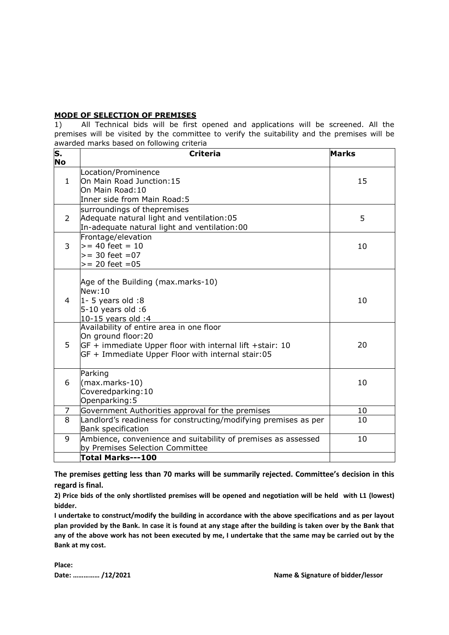#### **MODE OF SELECTION OF PREMISES**

1) All Technical bids will be first opened and applications will be screened. All the premises will be visited by the committee to verify the suitability and the premises will be awarded marks based on following criteria

| $\overline{\mathsf{s}}$ .<br>No | <b>Criteria</b>                                                                                                                                                                 | <b>Marks</b> |
|---------------------------------|---------------------------------------------------------------------------------------------------------------------------------------------------------------------------------|--------------|
| $\mathbf{1}$                    | Location/Prominence<br>On Main Road Junction:15<br>On Main Road: 10<br>Inner side from Main Road: 5                                                                             | 15           |
| $\overline{2}$                  | surroundings of thepremises<br>Adequate natural light and ventilation:05<br>In-adequate natural light and ventilation:00                                                        | 5            |
| 3                               | Frontage/elevation<br>$>= 40$ feet = 10<br>$>= 30$ feet $= 07$<br>$>= 20$ feet $= 05$                                                                                           | 10           |
| 4                               | Age of the Building (max.marks-10)<br>New:10<br>$1 - 5$ years old :8<br>$5-10$ years old :6<br>10-15 years old :4                                                               | 10           |
| 5                               | Availability of entire area in one floor<br>On ground floor:20<br>GF + immediate Upper floor with internal lift +stair: 10<br>GF + Immediate Upper Floor with internal stair:05 | 20           |
| 6                               | Parking<br>(max.marks-10)<br>Coveredparking: 10<br>Openparking: 5                                                                                                               | 10           |
| 7                               | Government Authorities approval for the premises                                                                                                                                | 10           |
| 8                               | Landlord's readiness for constructing/modifying premises as per<br><b>Bank specification</b>                                                                                    | 10           |
| 9                               | Ambience, convenience and suitability of premises as assessed<br>by Premises Selection Committee                                                                                | 10           |
|                                 | Total Marks---100                                                                                                                                                               |              |

**The premises getting less than 70 marks will be summarily rejected. Committee's decision in this regard is final.**

**2) Price bids of the only shortlisted premises will be opened and negotiation will be held with L1 (lowest) bidder.**

**I undertake to construct/modify the building in accordance with the above specifications and as per layout plan provided by the Bank. In case it is found at any stage after the building is taken over by the Bank that any of the above work has not been executed by me, I undertake that the same may be carried out by the Bank at my cost.**

**Place:**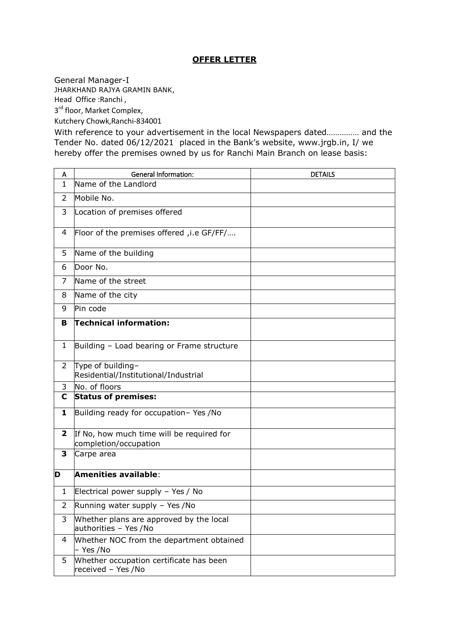# **OFFER LETTER**

General Manager-I

JHARKHAND RAJYA GRAMIN BANK, Head Office :Ranchi ,

3<sup>rd</sup> floor, Market Complex,

Kutchery Chowk,Ranchi-834001

With reference to your advertisement in the local Newspapers dated…………… and the Tender No. dated 06/12/2021 placed in the Bank's website, www.jrgb.in, I/ we hereby offer the premises owned by us for Ranchi Main Branch on lease basis:

| A              | <b>General Information:</b>                                        | <b>DETAILS</b> |
|----------------|--------------------------------------------------------------------|----------------|
| $\mathbf{1}$   | Name of the Landlord                                               |                |
| $\overline{2}$ | Mobile No.                                                         |                |
| 3              | Location of premises offered                                       |                |
| 4              | Floor of the premises offered, i.e GF/FF/                          |                |
| 5              | Name of the building                                               |                |
| 6              | Door No.                                                           |                |
| 7              | Name of the street                                                 |                |
| 8              | Name of the city                                                   |                |
| 9              | Pin code                                                           |                |
| В              | Technical information:                                             |                |
| $\mathbf{1}$   | Building - Load bearing or Frame structure                         |                |
| $\overline{2}$ | Type of building-<br>Residential/Institutional/Industrial          |                |
| 3              | No. of floors                                                      |                |
| C              | <b>Status of premises:</b>                                         |                |
| 1              | Building ready for occupation- Yes /No                             |                |
| $\overline{2}$ | If No, how much time will be required for<br>completion/occupation |                |
| 3              | Carpe area                                                         |                |
| D              | Amenities available:                                               |                |
| $\mathbf{1}$   | Electrical power supply - Yes / No                                 |                |
| 2              | Running water supply - Yes /No                                     |                |
| 3              | Whether plans are approved by the local<br>authorities - Yes /No   |                |
| 4              | Whether NOC from the department obtained<br>– Yes /No              |                |
| 5              | Whether occupation certificate has been<br>received - Yes /No      |                |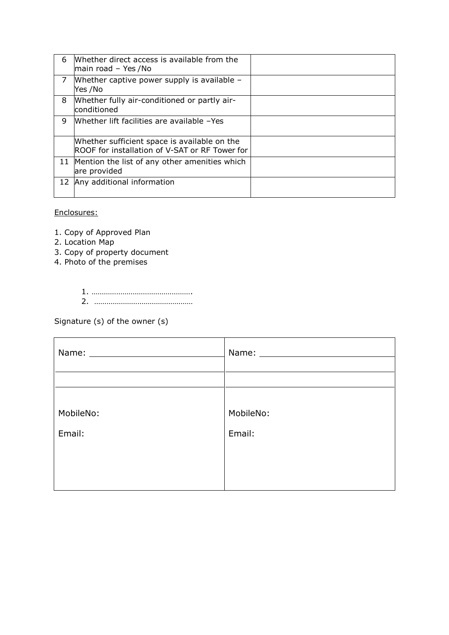| 6 | Whether direct access is available from the<br>main road - Yes /No                             |  |
|---|------------------------------------------------------------------------------------------------|--|
| 7 | Whether captive power supply is available -<br>Yes /No                                         |  |
| 8 | Whether fully air-conditioned or partly air-<br>conditioned                                    |  |
| 9 | Whether lift facilities are available -Yes                                                     |  |
|   | Whether sufficient space is available on the<br>ROOF for installation of V-SAT or RF Tower for |  |
|   | 11 Mention the list of any other amenities which<br>are provided                               |  |
|   | 12 Any additional information                                                                  |  |

## Enclosures:

- 1. Copy of Approved Plan
- 2. Location Map
- 3. Copy of property document
- 4. Photo of the premises
	- 1. …………………………………………. 2. …………………………………………

Signature (s) of the owner (s)

|           | Name: Name: |  |
|-----------|-------------|--|
|           |             |  |
| MobileNo: | MobileNo:   |  |
| Email:    | Email:      |  |
|           |             |  |
|           |             |  |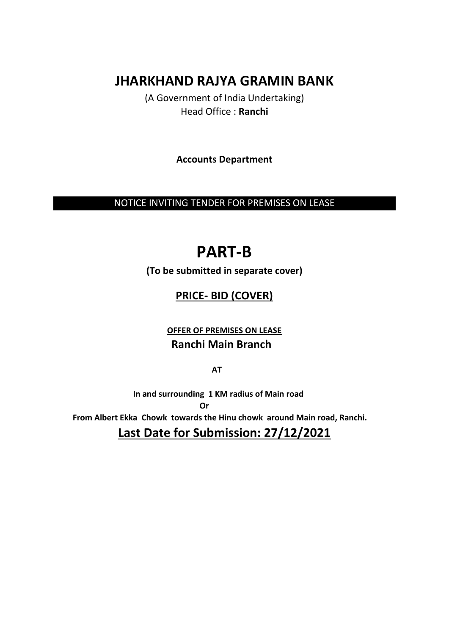# **JHARKHAND RAJYA GRAMIN BANK**

(A Government of India Undertaking) Head Office : **Ranchi**

**Accounts Department**

NOTICE INVITING TENDER FOR PREMISES ON LEASE

# **PART-B**

**(To be submitted in separate cover)**

# **PRICE- BID (COVER)**

**OFFER OF PREMISES ON LEASE Ranchi Main Branch** 

*AT* 

 **In and surrounding 1 KM radius of Main road**  *<u> Oriental Contract Contract Contract Contract Contract Contract Contract Contract Contract Contract Contract Contract Contract Contract Contract Contract Contract Contract Contract Contract Contract Contract Contract Co*</u>  **From Albert Ekka Chowk towards the Hinu chowk around Main road, Ranchi. Last Date for Submission: 27/12/2021**